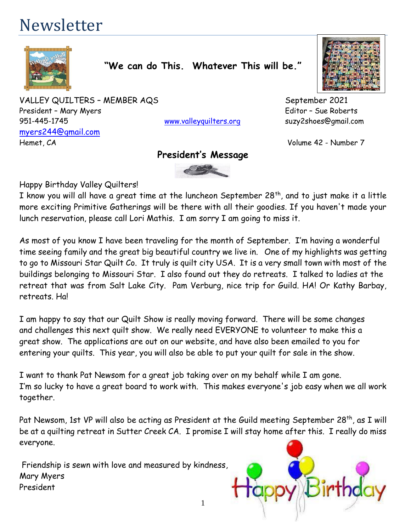# Newsletter



**"We can do This. Whatever This will be."**

VALLEY QUILTERS - MEMBER AQS<br>
September 2021 President – Mary Myers et al. (2008) and the extent of the Editor – Sue Roberts et al. (2014) and the Editor – Sue Roberts 951-445-1745 [www.valleyquilters.org](http://www.valleyquilters.org/) suzy2shoes@gmail.com [myers244@gmail.com](mailto:myers244@gmail.com) Hemet, CA Volume 42 - Number 7

# **President's Message**



Happy Birthday Valley Quilters!

I know you will all have a great time at the luncheon September 28 $^{\sf th}$ , and to just make it a little more exciting Primitive Gatherings will be there with all their goodies. If you haven't made your lunch reservation, please call Lori Mathis. I am sorry I am going to miss it.

As most of you know I have been traveling for the month of September. I'm having a wonderful time seeing family and the great big beautiful country we live in. One of my highlights was getting to go to Missouri Star Quilt Co. It truly is quilt city USA. It is a very small town with most of the buildings belonging to Missouri Star. I also found out they do retreats. I talked to ladies at the retreat that was from Salt Lake City. Pam Verburg, nice trip for Guild. HA! Or Kathy Barbay, retreats. Ha!

I am happy to say that our Quilt Show is really moving forward. There will be some changes and challenges this next quilt show. We really need EVERYONE to volunteer to make this a great show. The applications are out on our website, and have also been emailed to you for entering your quilts. This year, you will also be able to put your quilt for sale in the show.

I want to thank Pat Newsom for a great job taking over on my behalf while I am gone. I'm so lucky to have a great board to work with. This makes everyone's job easy when we all work together.

Pat Newsom, 1st VP will also be acting as President at the Guild meeting September 28<sup>th</sup>, as I will be at a quilting retreat in Sutter Creek CA. I promise I will stay home after this. I really do miss everyone.

1

Friendship is sewn with love and measured by kindness, Mary Myers President

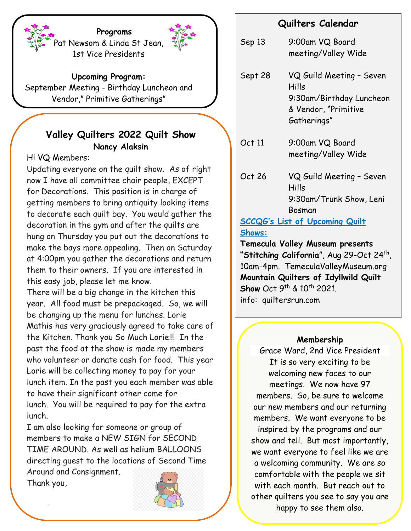**Programs** Pat Newsom & Linda St Jean, 1st Vice Presidents

**Upcoming Program:**

September Meeting - Birthday Luncheon and Vendor," Primitive Gatherings"

# **Valley Quilters 2022 Quilt Show Nancy Alaksin**

# Hi VQ Members:

Updating everyone on the quilt show. As of right now I have all committee chair people, EXCEPT for Decorations. This position is in charge of getting members to bring antiquity looking items to decorate each quilt bay. You would gather the decoration in the gym and after the quilts are hung on Thursday you put out the decorations to make the bays more appealing. Then on Saturday at 4:00pm you gather the decorations and return them to their owners. If you are interested in this easy job, please let me know.

There will be a big change in the kitchen this year. All food must be prepackaged. So, we will be changing up the menu for lunches. Lorie Mathis has very graciously agreed to take care of the Kitchen. Thank you So Much Lorie!!! In the past the food at the show is made my members who volunteer or donate cash for food. This year Lorie will be collecting money to pay for your lunch item. In the past you each member was able to have their significant other come for lunch. You will be required to pay for the extra lunch.

I am also looking for someone or group of members to make a NEW SIGN for SECOND TIME AROUND. As well as helium BALLOONS directing guest to the locations of Second Time Around and Consignment.

Thank you,



# **Quilters Calendar**

Sep 13 9:00am VQ Board meeting/Valley Wide

- Sept 28 VQ Guild Meeting Seven Hills 9:30am/Birthday Luncheon & Vendor, "Primitive Gatherings"
- Oct 11 9:00am VQ Board meeting/Valley Wide
- Oct 26 VQ Guild Meeting Seven Hills 9:30am/Trunk Show, Leni Bosman

# **SCCQG's List of Upcoming Quilt Shows:**

**Temecula Valley Museum presents**  "**Stitching California**", Aug 29-Oct 24<sup>th</sup>, 10am-4pm. TemeculaValleyMuseum.org **Mountain Quilters of Idyllwild Quilt Show** Oct 9<sup>th</sup> & 10<sup>th</sup> 2021. info: quiltersrun.com

## **Membership**

Grace Ward, 2nd Vice President It is so very exciting to be welcoming new faces to our meetings. We now have 97 members. So, be sure to welcome our new members and our returning members. We want everyone to be inspired by the programs and our show and tell. But most importantly, we want everyone to feel like we are a welcoming community. We are so comfortable with the people we sit with each month. But reach out to other quilters you see to say you are happy to see them also.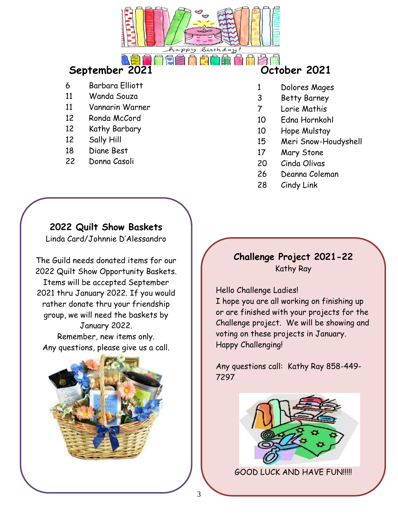

# **September 2021 October 2021**

- 6 Barbara Elliott
- 11 Wanda Souza
- 11 Vannarin Warner
- 12 Ronda McCord
- 12 Kathy Barbary
- 12 Sally Hill
- 18 Diane Best
- 22 Donna Casoli

- 1 Dolores Mages
- 3 Betty Barney
- 7 Lorie Mathis
- 10 Edna Hornkohl
- 10 Hope Mulstay
- 15 Meri Snow-Houdyshell
- 17 Mary Stone
- 20 Cinda Olivas
- 26 Deanna Coleman
- 28 Cindy Link

# **2022 Quilt Show Baskets**

Linda Card/Johnnie D'Alessandro

The Guild needs donated items for our 2022 Quilt Show Opportunity Baskets. Items will be accepted September 2021 thru January 2022. If you would rather donate thru your friendship group, we will need the baskets by January 2022. Remember, new items only.

Any questions, please give us a call.



# **Challenge Project 2021-22** Kathy Ray

Hello Challenge Ladies!

I hope you are all working on finishing up or are finished with your projects for the Challenge project. We will be showing and voting on these projects in January. Happy Challenging!

Any questions call: Kathy Ray 858-449- 7297



GOOD LUCK AND HAVE FUN!!!!!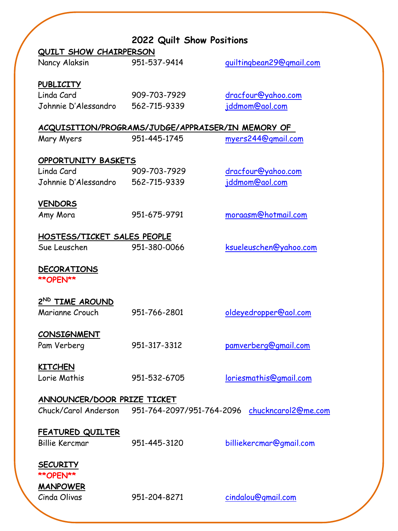|                                                   | 2022 Quilt Show Positions |                          |
|---------------------------------------------------|---------------------------|--------------------------|
| <b>QUILT SHOW CHAIRPERSON</b>                     |                           |                          |
| Nancy Alaksin                                     | 951-537-9414              | guiltingbean29@gmail.com |
| <b>PUBLICITY</b>                                  |                           |                          |
| Linda Card                                        | 909-703-7929              | dracfour@yahoo.com       |
| Johnnie D'Alessandro 562-715-9339                 |                           | <u>jddmom@aol.com</u>    |
| ACQUISITION/PROGRAMS/JUDGE/APPRAISER/IN MEMORY OF |                           |                          |
| Mary Myers                                        | 951-445-1745              | myers244@gmail.com       |
|                                                   |                           |                          |
| <b>OPPORTUNITY BASKETS</b>                        |                           |                          |
| Linda Card                                        | 909-703-7929              | dracfour@yahoo.com       |
| Johnnie D'Alessandro 562-715-9339                 |                           | jddmom@aol.com           |
|                                                   |                           |                          |
| <b>VENDORS</b>                                    |                           |                          |
| Amy Mora                                          | 951-675-9791              | moraasm@hotmail.com      |
| HOSTESS/TICKET SALES PEOPLE                       |                           |                          |
| Sue Leuschen                                      | 951-380-0066              | ksueleuschen@yahoo.com   |
|                                                   |                           |                          |
| <b>DECORATIONS</b>                                |                           |                          |
| <b>**OPEN**</b>                                   |                           |                          |
| 2ND TIME AROUND                                   |                           |                          |
| Marianne Crouch                                   | 951-766-2801              | oldeyedropper@aol.com    |
|                                                   |                           |                          |
| <b>CONSIGNMENT</b>                                |                           |                          |
| Pam Verberg                                       | 951-317-3312              | pamverberg@gmail.com     |
|                                                   |                           |                          |
| <b>KITCHEN</b><br>Lorie Mathis                    | 951-532-6705              | loriesmathis@gmail.com   |
|                                                   |                           |                          |
| ANNOUNCER/DOOR PRIZE TICKET                       |                           |                          |
| Chuck/Carol Anderson                              | 951-764-2097/951-764-2096 | chuckncarol2@me.com      |
|                                                   |                           |                          |
| <b>FEATURED QUILTER</b>                           |                           |                          |
| <b>Billie Kercmar</b>                             | 951-445-3120              | billiekercmar@gmail.com  |
|                                                   |                           |                          |
| <b>SECURITY</b>                                   |                           |                          |
| <b>**OPEN**</b>                                   |                           |                          |
| <b>MANPOWER</b><br>Cinda Olivas                   | 951-204-8271              | cindalou@gmail.com       |
|                                                   |                           |                          |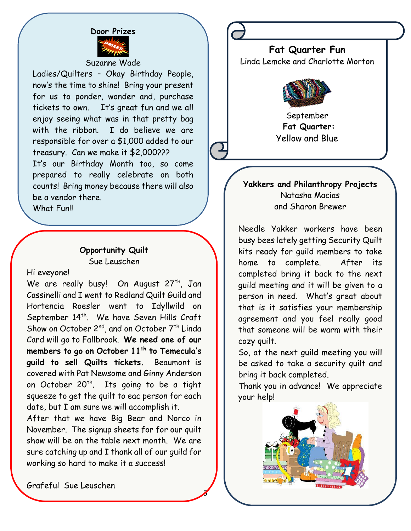

Suzanne Wade

Ladies/Quilters – Okay Birthday People, now's the time to shine! Bring your present for us to ponder, wonder and, purchase tickets to own. It's great fun and we all enjoy seeing what was in that pretty bag with the ribbon. I do believe we are responsible for over a \$1,000 added to our treasury. Can we make it \$2,000??? It's our Birthday Month too, so come

prepared to really celebrate on both counts! Bring money because there will also be a vendor there.

What Funll

#### **Opportunity Quilt** Sue Leuschen

Hi eveyone!

We are really busy! On August 27<sup>th</sup>, Jan Cassinelli and I went to Redland Quilt Guild and Hortencia Roesler went to Idyllwild on September 14<sup>th</sup>. We have Seven Hills Craft Show on October 2<sup>nd</sup>, and on October 7<sup>th</sup> Linda Card will go to Fallbrook. **We need one of our members to go on October 11th to Temecula's guild to sell Quilts tickets.** Beaumont is covered with Pat Newsome and Ginny Anderson on October 20<sup>th</sup>. Its going to be a tight squeeze to get the quilt to eac person for each date, but I am sure we will accomplish it.

After that we have Big Bear and Norco in November. The signup sheets for for our quilt show will be on the table next month. We are sure catching up and I thank all of our guild for working so hard to make it a success!

5

**Fat Quarter Fun** Linda Lemcke and Charlotte Morton



September **Fat Quarter:** Yellow and Blue

## **Yakkers and Philanthropy Projects** Natasha Macias and Sharon Brewer

Needle Yakker workers have been busy bees lately getting Security Quilt kits ready for guild members to take home to complete. After its completed bring it back to the next guild meeting and it will be given to a person in need. What's great about that is it satisfies your membership agreement and you feel really good that someone will be warm with their cozy quilt.

So, at the next guild meeting you will be asked to take a security quilt and bring it back completed.

Thank you in advance! We appreciate your help!



Grafeful Sue Leuschen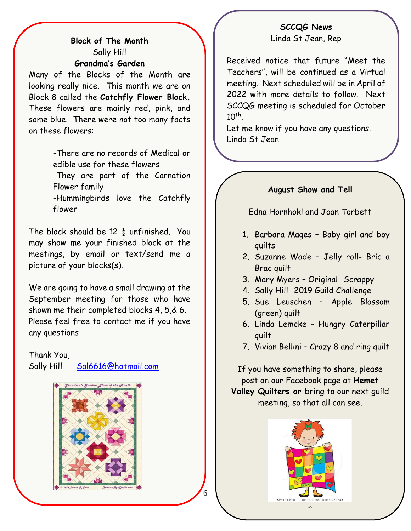# **Block of The Month** Sally Hill **Grandma's Garden**

Many of the Blocks of the Month are looking really nice. This month we are on Block 8 called the **Catchfly Flower Block.**  These flowers are mainly red, pink, and some blue. There were not too many facts on these flowers:

> -There are no records of Medical or edible use for these flowers -They are part of the Carnation

Flower family

-Hummingbirds love the Catchfly flower

The block should be 12  $\frac{1}{2}$  unfinished. You may show me your finished block at the meetings, by email or text/send me a picture of your blocks(s).

We are going to have a small drawing at the September meeting for those who have shown me their completed blocks 4, 5,& 6. Please feel free to contact me if you have any questions

Thank You,

Sally Hill [Sal6616@hotmail.com](mailto:Sal6616@hotmail.com)

![](_page_5_Picture_9.jpeg)

#### **SCCQG News** Linda St Jean, Rep

Received notice that future "Meet the Teachers", will be continued as a Virtual meeting. Next scheduled will be in April of 2022 with more details to follow. Next SCCQG meeting is scheduled for October  $10^{th}$ .

Let me know if you have any questions. Linda St Jean

#### **August Show and Tell**

Edna Hornhokl and Joan Torbett

- 1. Barbara Mages Baby girl and boy quilts
- 2. Suzanne Wade Jelly roll- Bric a Brac quilt
- 3. Mary Myers Original -Scrappy
- 4. Sally Hill- 2019 Guild Challenge
- 5. Sue Leuschen Apple Blossom (green) quilt
- 6. Linda Lemcke Hungry Caterpillar quilt
- 7. Vivian Bellini Crazy 8 and ring quilt

If you have something to share, please post on our Facebook page at **Hemet Valley Quilters or** bring to our next guild meeting, so that all can see.

![](_page_5_Picture_23.jpeg)

6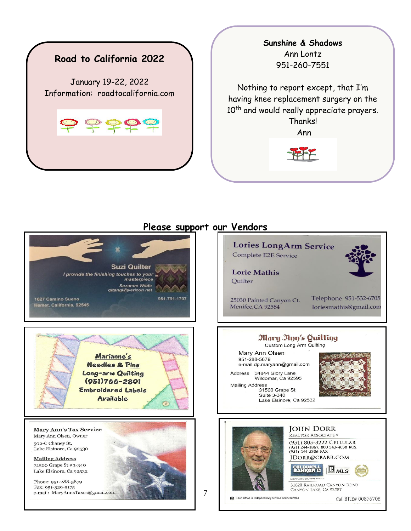![](_page_6_Picture_0.jpeg)

#### **Sunshine & Shadows** Ann Lontz 951-260-7551

Nothing to report except, that I'm having knee replacement surgery on the 10<sup>th</sup> and would really appreciate prayers. Thanks!

Ann

![](_page_6_Picture_4.jpeg)

#### **Lories LongArm Service** Complete E2E Service **Suzi Quilter Lorie Mathis** I provide the finishing touches to your masterpiece Quilter **Suzanne Wade** qltangl@verizon.net 1627 Camino Sueno 951-791-1707 25030 Painted Canyon Ct. Hemet, California, 92545 Menifee, CA 92584 Mary App's Quilting Custom Long Arm Quilting Mary Ann Olsen Marianne's 951-288-5879 Needles & Pins e-mail dp.maryann@gmail.com Long-arm Quilting 34844 Glory Lane Address Wildomar, Ca 92595 (951)766-2801 Mailing Address **Embroidered Labels** 31500 Grape St Suite 3-340 **Available** Lake Elsinore, Ca 92532  $\widehat{C}$ **JOHN DORR Mary Ann's Tax Service** REALTOR ASSOCIATE<sup>®</sup> Mary Ann Olsen, Owner (951) 805-3222 CELLULAR 502-C Chaney St, (951) 244-1867, 800 543-4038 BUS.<br>(951) 244-5306 FAX Lake Elsinore, Ca 92530 JDORR@CBABR.COM **Mailing Address** 31500 Grape St #3-340 **BANKER D**  $\mathbb{B}_{MLS}$ Lake Elsinore, Ca 92532 Phone: 951-288-5879 31620 RAILROAD CANYON ROAD Fax: 951-329-5175 e-mail: MaryAnnsTaxes@gmail.com

#### **Please support our Vendors**

![](_page_6_Picture_7.jpeg)

7

CANYON LAKE, CA 92587 Each Office is Independently Owned and Operated

Cal BRE# 00876708